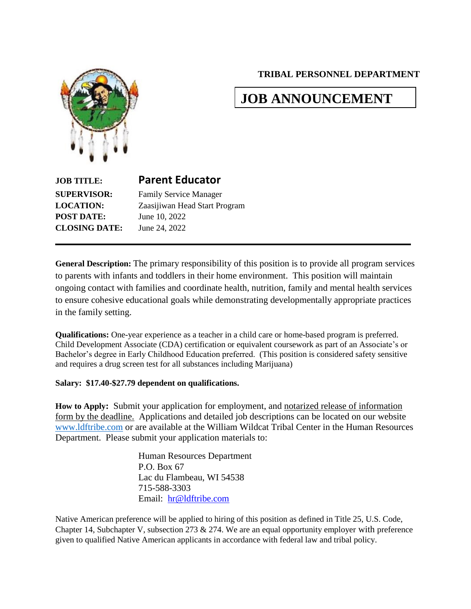**TRIBAL PERSONNEL DEPARTMENT**

# **JOB ANNOUNCEMENT**



# **JOB TITLE: Parent Educator SUPERVISOR:** Family Service Manager **LOCATION:** Zaasijiwan Head Start Program **POST DATE:** June 10, 2022 **CLOSING DATE:** June 24, 2022

**General Description:** The primary responsibility of this position is to provide all program services to parents with infants and toddlers in their home environment. This position will maintain ongoing contact with families and coordinate health, nutrition, family and mental health services to ensure cohesive educational goals while demonstrating developmentally appropriate practices in the family setting.

**Qualifications:** One-year experience as a teacher in a child care or home-based program is preferred. Child Development Associate (CDA) certification or equivalent coursework as part of an Associate's or Bachelor's degree in Early Childhood Education preferred. (This position is considered safety sensitive and requires a drug screen test for all substances including Marijuana)

#### **Salary: \$17.40-\$27.79 dependent on qualifications.**

**How to Apply:** Submit your application for employment, and notarized release of information form by the deadline. Applications and detailed job descriptions can be located on our website [www.ldftribe.com](http://www.ldftribe.com/) or are available at the William Wildcat Tribal Center in the Human Resources Department. Please submit your application materials to:

> Human Resources Department P.O. Box 67 Lac du Flambeau, WI 54538 715-588-3303 Email: [hr@ldftribe.com](mailto:hr@ldftribe.com)

Native American preference will be applied to hiring of this position as defined in Title 25, U.S. Code, Chapter 14, Subchapter V, subsection 273 & 274. We are an equal opportunity employer with preference given to qualified Native American applicants in accordance with federal law and tribal policy.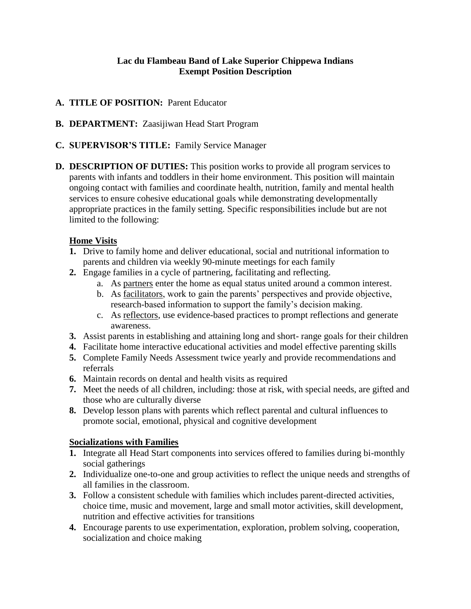#### **Lac du Flambeau Band of Lake Superior Chippewa Indians Exempt Position Description**

- **A. TITLE OF POSITION:** Parent Educator
- **B. DEPARTMENT:** Zaasijiwan Head Start Program
- **C. SUPERVISOR'S TITLE:** Family Service Manager
- **D. DESCRIPTION OF DUTIES:** This position works to provide all program services to parents with infants and toddlers in their home environment. This position will maintain ongoing contact with families and coordinate health, nutrition, family and mental health services to ensure cohesive educational goals while demonstrating developmentally appropriate practices in the family setting. Specific responsibilities include but are not limited to the following:

#### **Home Visits**

- **1.** Drive to family home and deliver educational, social and nutritional information to parents and children via weekly 90-minute meetings for each family
- **2.** Engage families in a cycle of partnering, facilitating and reflecting.
	- a. As partners enter the home as equal status united around a common interest.
	- b. As facilitators, work to gain the parents' perspectives and provide objective, research-based information to support the family's decision making.
	- c. As reflectors, use evidence-based practices to prompt reflections and generate awareness.
- **3.** Assist parents in establishing and attaining long and short- range goals for their children
- **4.** Facilitate home interactive educational activities and model effective parenting skills
- **5.** Complete Family Needs Assessment twice yearly and provide recommendations and referrals
- **6.** Maintain records on dental and health visits as required
- **7.** Meet the needs of all children, including: those at risk, with special needs, are gifted and those who are culturally diverse
- **8.** Develop lesson plans with parents which reflect parental and cultural influences to promote social, emotional, physical and cognitive development

## **Socializations with Families**

- **1.** Integrate all Head Start components into services offered to families during bi-monthly social gatherings
- **2.** Individualize one-to-one and group activities to reflect the unique needs and strengths of all families in the classroom.
- **3.** Follow a consistent schedule with families which includes parent-directed activities, choice time, music and movement, large and small motor activities, skill development, nutrition and effective activities for transitions
- **4.** Encourage parents to use experimentation, exploration, problem solving, cooperation, socialization and choice making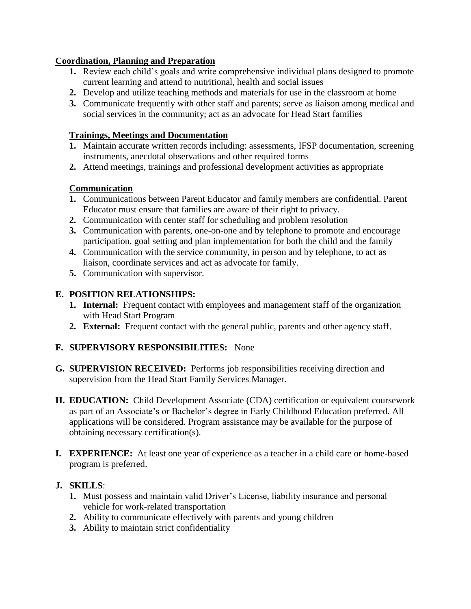#### **Coordination, Planning and Preparation**

- **1.** Review each child's goals and write comprehensive individual plans designed to promote current learning and attend to nutritional, health and social issues
- **2.** Develop and utilize teaching methods and materials for use in the classroom at home
- **3.** Communicate frequently with other staff and parents; serve as liaison among medical and social services in the community; act as an advocate for Head Start families

## **Trainings, Meetings and Documentation**

- **1.** Maintain accurate written records including: assessments, IFSP documentation, screening instruments, anecdotal observations and other required forms
- **2.** Attend meetings, trainings and professional development activities as appropriate

# **Communication**

- **1.** Communications between Parent Educator and family members are confidential. Parent Educator must ensure that families are aware of their right to privacy.
- **2.** Communication with center staff for scheduling and problem resolution
- **3.** Communication with parents, one-on-one and by telephone to promote and encourage participation, goal setting and plan implementation for both the child and the family
- **4.** Communication with the service community, in person and by telephone, to act as liaison, coordinate services and act as advocate for family.
- **5.** Communication with supervisor.

## **E. POSITION RELATIONSHIPS:**

- **1. Internal:** Frequent contact with employees and management staff of the organization with Head Start Program
- **2. External:** Frequent contact with the general public, parents and other agency staff.

## **F. SUPERVISORY RESPONSIBILITIES:** None

- **G. SUPERVISION RECEIVED:** Performs job responsibilities receiving direction and supervision from the Head Start Family Services Manager.
- **H. EDUCATION:** Child Development Associate (CDA) certification or equivalent coursework as part of an Associate's or Bachelor's degree in Early Childhood Education preferred. All applications will be considered. Program assistance may be available for the purpose of obtaining necessary certification(s).
- **I. EXPERIENCE:** At least one year of experience as a teacher in a child care or home-based program is preferred.

## **J. SKILLS**:

- **1.** Must possess and maintain valid Driver's License, liability insurance and personal vehicle for work-related transportation
- **2.** Ability to communicate effectively with parents and young children
- **3.** Ability to maintain strict confidentiality